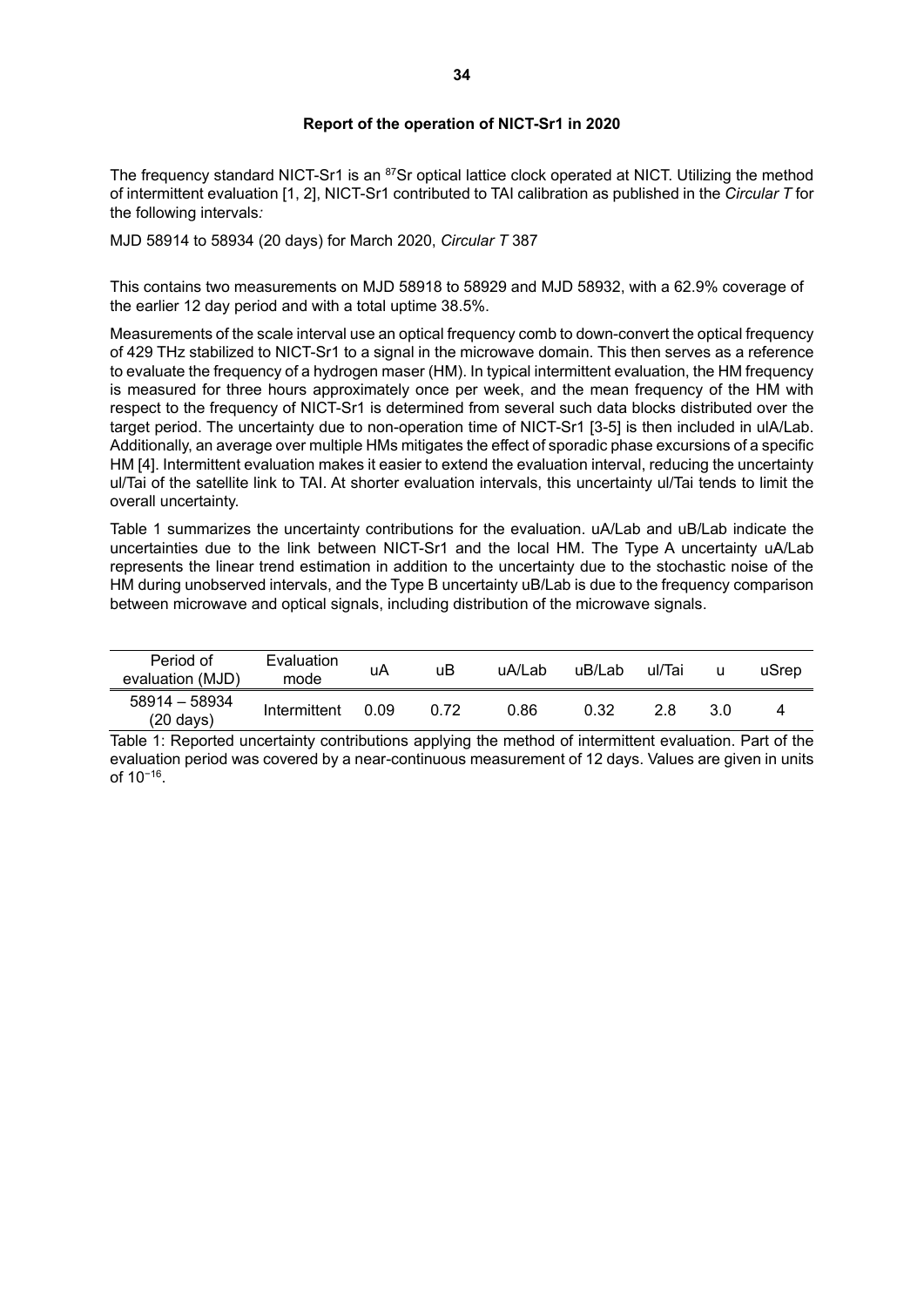## **Report of the operation of NICT-Sr1 in 2020**

The frequency standard NICT-Sr1 is an <sup>87</sup>Sr optical lattice clock operated at NICT. Utilizing the method of intermittent evaluation [1, 2], NICT-Sr1 contributed to TAI calibration as published in the *Circular T* for the following intervals*:*

MJD 58914 to 58934 (20 days) for March 2020, *Circular T* 387

This contains two measurements on MJD 58918 to 58929 and MJD 58932, with a 62.9% coverage of the earlier 12 day period and with a total uptime 38.5%.

Measurements of the scale interval use an optical frequency comb to down-convert the optical frequency of 429 THz stabilized to NICT-Sr1 to a signal in the microwave domain. This then serves as a reference to evaluate the frequency of a hydrogen maser (HM). In typical intermittent evaluation, the HM frequency is measured for three hours approximately once per week, and the mean frequency of the HM with respect to the frequency of NICT-Sr1 is determined from several such data blocks distributed over the target period. The uncertainty due to non-operation time of NICT-Sr1 [3-5] is then included in ulA/Lab. Additionally, an average over multiple HMs mitigates the effect of sporadic phase excursions of a specific HM [4]. Intermittent evaluation makes it easier to extend the evaluation interval, reducing the uncertainty ul/Tai of the satellite link to TAI. At shorter evaluation intervals, this uncertainty ul/Tai tends to limit the overall uncertainty.

Table 1 summarizes the uncertainty contributions for the evaluation. uA/Lab and uB/Lab indicate the uncertainties due to the link between NICT-Sr1 and the local HM. The Type A uncertainty uA/Lab represents the linear trend estimation in addition to the uncertainty due to the stochastic noise of the HM during unobserved intervals, and the Type B uncertainty uB/Lab is due to the frequency comparison between microwave and optical signals, including distribution of the microwave signals.

| Period of<br>evaluation (MJD)        | Evaluation<br>mode | uA   | uВ   | uA/Lab | uB/Lab | ul/Tai |     | uSrep |
|--------------------------------------|--------------------|------|------|--------|--------|--------|-----|-------|
| 58914 - 58934<br>$(20 \text{ days})$ | Intermittent       | 0.09 | 0.72 | 0.86   | 0.32   | 28     | 3.0 |       |

Table 1: Reported uncertainty contributions applying the method of intermittent evaluation. Part of the evaluation period was covered by a near-continuous measurement of 12 days. Values are given in units of 10−16 .